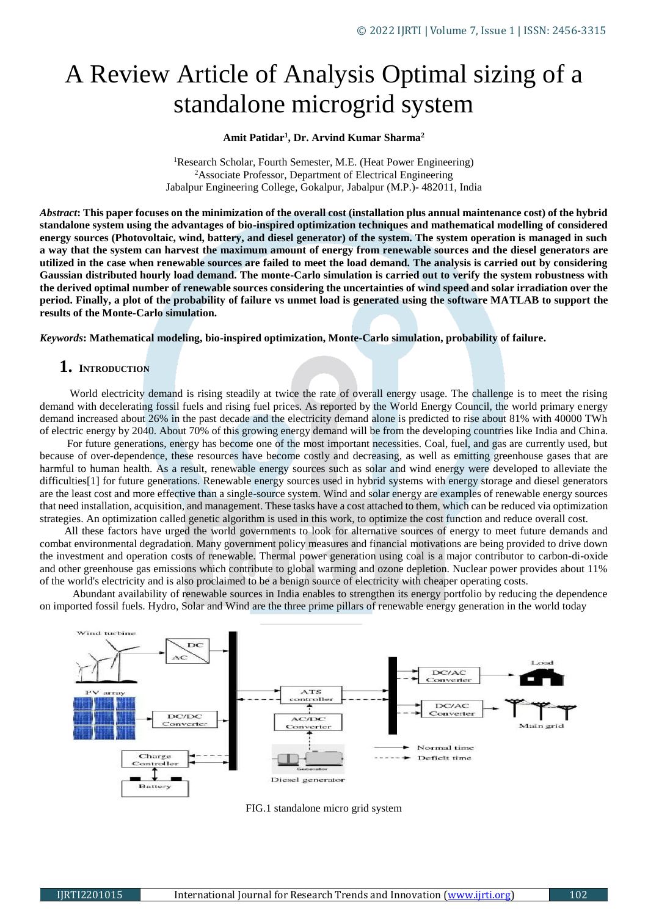# A Review Article of Analysis Optimal sizing of a standalone microgrid system

#### **Amit Patidar<sup>1</sup> , Dr. Arvind Kumar Sharma<sup>2</sup>**

<sup>1</sup>Research Scholar, Fourth Semester, M.E. (Heat Power Engineering) <sup>2</sup>Associate Professor, Department of Electrical Engineering Jabalpur Engineering College, Gokalpur, Jabalpur (M.P.)- 482011, India

*Abstract***: This paper focuses on the minimization of the overall cost (installation plus annual maintenance cost) of the hybrid standalone system using the advantages of bio-inspired optimization techniques and mathematical modelling of considered energy sources (Photovoltaic, wind, battery, and diesel generator) of the system. The system operation is managed in such a way that the system can harvest the maximum amount of energy from renewable sources and the diesel generators are utilized in the case when renewable sources are failed to meet the load demand. The analysis is carried out by considering Gaussian distributed hourly load demand. The monte-Carlo simulation is carried out to verify the system robustness with the derived optimal number of renewable sources considering the uncertainties of wind speed and solar irradiation over the period. Finally, a plot of the probability of failure vs unmet load is generated using the software MATLAB to support the results of the Monte-Carlo simulation.**

*Keywords***: Mathematical modeling, bio-inspired optimization, Monte-Carlo simulation, probability of failure.**

### **1. <sup>I</sup>NTRODUCTION**

 World electricity demand is rising steadily at twice the rate of overall energy usage. The challenge is to meet the rising demand with decelerating fossil fuels and rising fuel prices. As reported by the World Energy Council, the world primary energy demand increased about 26% in the past decade and the electricity demand alone is predicted to rise about 81% with 40000 TWh of electric energy by 2040. About 70% of this growing energy demand will be from the developing countries like India and China.

 For future generations, energy has become one of the most important necessities. Coal, fuel, and gas are currently used, but because of over-dependence, these resources have become costly and decreasing, as well as emitting greenhouse gases that are harmful to human health. As a result, renewable energy sources such as solar and wind energy were developed to alleviate the difficulties[1] for future generations. Renewable energy sources used in hybrid systems with energy storage and diesel generators are the least cost and more effective than a single-source system. Wind and solar energy are examples of renewable energy sources that need installation, acquisition, and management. These tasks have a cost attached to them, which can be reduced via optimization strategies. An optimization called genetic algorithm is used in this work, to optimize the cost function and reduce overall cost.

 All these factors have urged the world governments to look for alternative sources of energy to meet future demands and combat environmental degradation. Many government policy measures and financial motivations are being provided to drive down the investment and operation costs of renewable. Thermal power generation using coal is a major contributor to carbon-di-oxide and other greenhouse gas emissions which contribute to global warming and ozone depletion. Nuclear power provides about 11% of the world's electricity and is also proclaimed to be a benign source of electricity with cheaper operating costs.

 Abundant availability of renewable sources in India enables to strengthen its energy portfolio by reducing the dependence on imported fossil fuels. Hydro, Solar and Wind are the three prime pillars of renewable energy generation in the world today



FIG.1 standalone micro grid system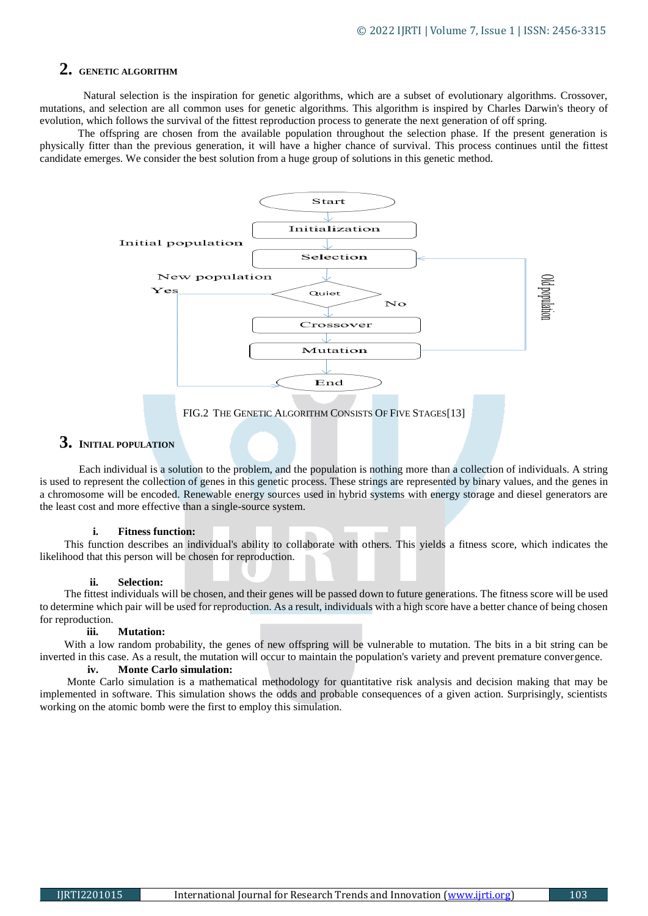# **2. GENETIC ALGORITHM**

 Natural selection is the inspiration for genetic algorithms, which are a subset of evolutionary algorithms. Crossover, mutations, and selection are all common uses for genetic algorithms. This algorithm is inspired by Charles Darwin's theory of evolution, which follows the survival of the fittest reproduction process to generate the next generation of off spring.

 The offspring are chosen from the available population throughout the selection phase. If the present generation is physically fitter than the previous generation, it will have a higher chance of survival. This process continues until the fittest candidate emerges. We consider the best solution from a huge group of solutions in this genetic method.



## **3. <sup>I</sup>NITIAL POPULATION**

 Each individual is a solution to the problem, and the population is nothing more than a collection of individuals. A string is used to represent the collection of genes in this genetic process. These strings are represented by binary values, and the genes in a chromosome will be encoded. Renewable energy sources used in hybrid systems with energy storage and diesel generators are the least cost and more effective than a single-source system.

#### **i. Fitness function:**

 This function describes an individual's ability to collaborate with others. This yields a fitness score, which indicates the likelihood that this person will be chosen for reproduction.

#### **ii. Selection:**

 The fittest individuals will be chosen, and their genes will be passed down to future generations. The fitness score will be used to determine which pair will be used for reproduction. As a result, individuals with a high score have a better chance of being chosen for reproduction.

#### **iii. Mutation:**

 With a low random probability, the genes of new offspring will be vulnerable to mutation. The bits in a bit string can be inverted in this case. As a result, the mutation will occur to maintain the population's variety and prevent premature convergence.

#### **iv. Monte Carlo simulation:**

 Monte Carlo simulation is a mathematical methodology for quantitative risk analysis and decision making that may be implemented in software. This simulation shows the odds and probable consequences of a given action. Surprisingly, scientists working on the atomic bomb were the first to employ this simulation.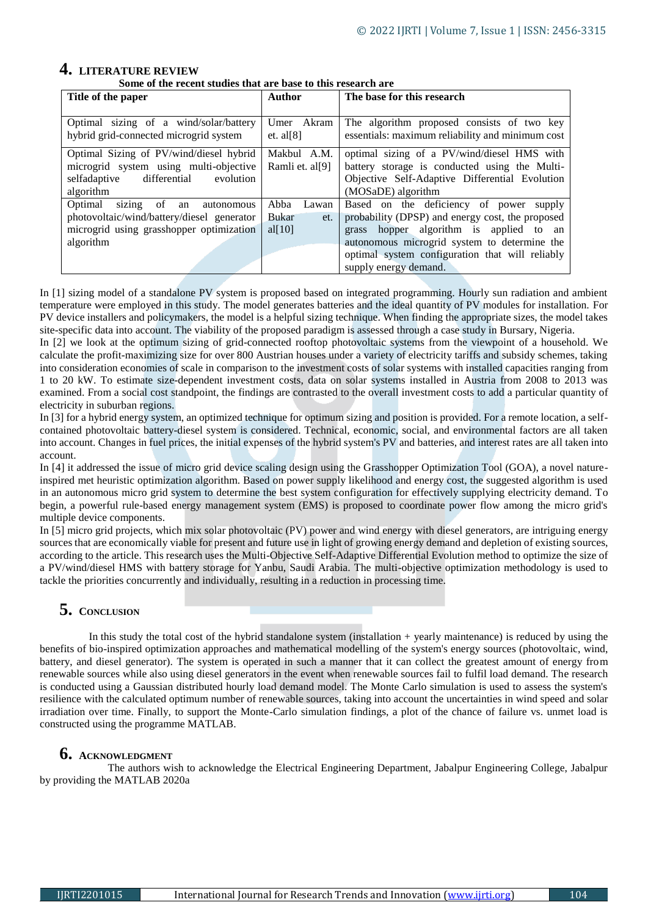# **4. LITERATURE REVIEW**

 **Some of the recent studies that are base to this research are**

| Title of the paper                                                                                                                          | <b>Author</b>                                     | The base for this research                                                                                                                                           |
|---------------------------------------------------------------------------------------------------------------------------------------------|---------------------------------------------------|----------------------------------------------------------------------------------------------------------------------------------------------------------------------|
| Optimal sizing of a wind/solar/battery<br>hybrid grid-connected microgrid system                                                            | Umer Akram<br>et. al $[8]$                        | The algorithm proposed consists of two key<br>essentials: maximum reliability and minimum cost                                                                       |
| Optimal Sizing of PV/wind/diesel hybrid<br>microgrid system using multi-objective<br>selfadaptive<br>differential<br>evolution<br>algorithm | Makbul A.M.<br>Ramli et. al[9]                    | optimal sizing of a PV/wind/diesel HMS with<br>battery storage is conducted using the Multi-<br>Objective Self-Adaptive Differential Evolution<br>(MOSaDE) algorithm |
| sizing of<br>Optimal<br>autonomous<br>an<br>photovoltaic/wind/battery/diesel generator<br>microgrid using grasshopper optimization          | Abba<br>Lawan<br><b>Bukar</b><br>et.<br>al $[10]$ | Based on the deficiency of power supply<br>probability (DPSP) and energy cost, the proposed<br>hopper algorithm is applied to an<br>grass                            |
| algorithm                                                                                                                                   |                                                   | autonomous microgrid system to determine the<br>optimal system configuration that will reliably<br>supply energy demand.                                             |

In [1] sizing model of a standalone PV system is proposed based on integrated programming. Hourly sun radiation and ambient temperature were employed in this study. The model generates batteries and the ideal quantity of PV modules for installation. For PV device installers and policymakers, the model is a helpful sizing technique. When finding the appropriate sizes, the model takes site-specific data into account. The viability of the proposed paradigm is assessed through a case study in Bursary, Nigeria.

In [2] we look at the optimum sizing of grid-connected rooftop photovoltaic systems from the viewpoint of a household. We calculate the profit-maximizing size for over 800 Austrian houses under a variety of electricity tariffs and subsidy schemes, taking into consideration economies of scale in comparison to the investment costs of solar systems with installed capacities ranging from 1 to 20 kW. To estimate size-dependent investment costs, data on solar systems installed in Austria from 2008 to 2013 was examined. From a social cost standpoint, the findings are contrasted to the overall investment costs to add a particular quantity of electricity in suburban regions.

In [3] for a hybrid energy system, an optimized technique for optimum sizing and position is provided. For a remote location, a selfcontained photovoltaic battery-diesel system is considered. Technical, economic, social, and environmental factors are all taken into account. Changes in fuel prices, the initial expenses of the hybrid system's PV and batteries, and interest rates are all taken into account.

In [4] it addressed the issue of micro grid device scaling design using the Grasshopper Optimization Tool (GOA), a novel natureinspired met heuristic optimization algorithm. Based on power supply likelihood and energy cost, the suggested algorithm is used in an autonomous micro grid system to determine the best system configuration for effectively supplying electricity demand. To begin, a powerful rule-based energy management system (EMS) is proposed to coordinate power flow among the micro grid's multiple device components.

In [5] micro grid projects, which mix solar photovoltaic (PV) power and wind energy with diesel generators, are intriguing energy sources that are economically viable for present and future use in light of growing energy demand and depletion of existing sources, according to the article. This research uses the Multi-Objective Self-Adaptive Differential Evolution method to optimize the size of a PV/wind/diesel HMS with battery storage for Yanbu, Saudi Arabia. The multi-objective optimization methodology is used to tackle the priorities concurrently and individually, resulting in a reduction in processing time.

# **5. <sup>C</sup>ONCLUSION**

 In this study the total cost of the hybrid standalone system (installation + yearly maintenance) is reduced by using the benefits of bio-inspired optimization approaches and mathematical modelling of the system's energy sources (photovoltaic, wind, battery, and diesel generator). The system is operated in such a manner that it can collect the greatest amount of energy from renewable sources while also using diesel generators in the event when renewable sources fail to fulfil load demand. The research is conducted using a Gaussian distributed hourly load demand model. The Monte Carlo simulation is used to assess the system's resilience with the calculated optimum number of renewable sources, taking into account the uncertainties in wind speed and solar irradiation over time. Finally, to support the Monte-Carlo simulation findings, a plot of the chance of failure vs. unmet load is constructed using the programme MATLAB.

# **6. <sup>A</sup>CKNOWLEDGMENT**

 The authors wish to acknowledge the Electrical Engineering Department, Jabalpur Engineering College, Jabalpur by providing the MATLAB 2020a